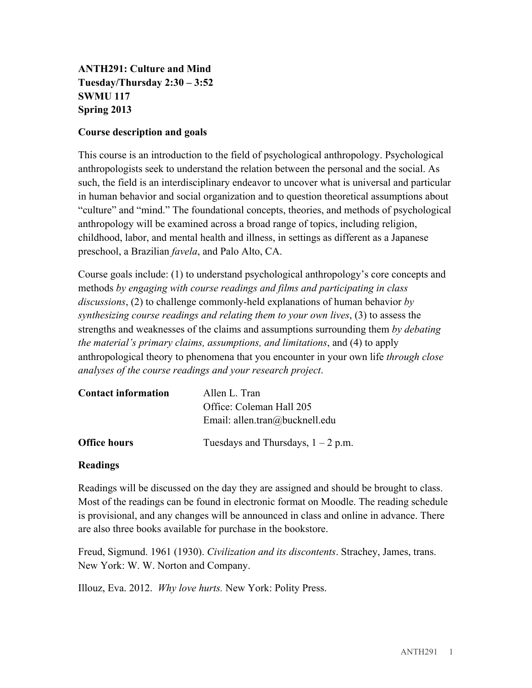**ANTH291: Culture and Mind Tuesday/Thursday 2:30 – 3:52 SWMU 117 Spring 2013**

#### **Course description and goals**

This course is an introduction to the field of psychological anthropology. Psychological anthropologists seek to understand the relation between the personal and the social. As such, the field is an interdisciplinary endeavor to uncover what is universal and particular in human behavior and social organization and to question theoretical assumptions about "culture" and "mind." The foundational concepts, theories, and methods of psychological anthropology will be examined across a broad range of topics, including religion, childhood, labor, and mental health and illness, in settings as different as a Japanese preschool, a Brazilian *favela*, and Palo Alto, CA.

Course goals include: (1) to understand psychological anthropology's core concepts and methods *by engaging with course readings and films and participating in class discussions*, (2) to challenge commonly-held explanations of human behavior *by synthesizing course readings and relating them to your own lives*, (3) to assess the strengths and weaknesses of the claims and assumptions surrounding them *by debating the material's primary claims, assumptions, and limitations*, and (4) to apply anthropological theory to phenomena that you encounter in your own life *through close analyses of the course readings and your research project*.

| <b>Contact information</b> | Allen L. Tran                                              |
|----------------------------|------------------------------------------------------------|
|                            | Office: Coleman Hall 205<br>Email: allen.tran@bucknell.edu |
| <b>Office hours</b>        | Tuesdays and Thursdays, $1 - 2$ p.m.                       |

#### **Readings**

Readings will be discussed on the day they are assigned and should be brought to class. Most of the readings can be found in electronic format on Moodle. The reading schedule is provisional, and any changes will be announced in class and online in advance. There are also three books available for purchase in the bookstore.

Freud, Sigmund. 1961 (1930). *Civilization and its discontents*. Strachey, James, trans. New York: W. W. Norton and Company.

Illouz, Eva. 2012. *Why love hurts.* New York: Polity Press.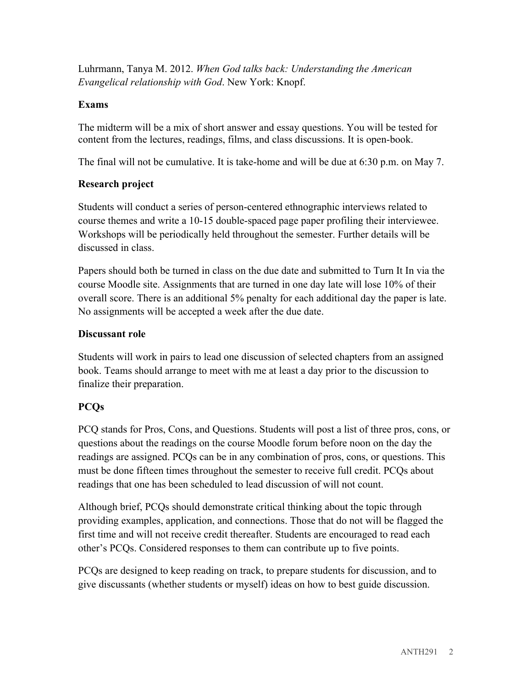Luhrmann, Tanya M. 2012. *When God talks back: Understanding the American Evangelical relationship with God*. New York: Knopf.

### **Exams**

The midterm will be a mix of short answer and essay questions. You will be tested for content from the lectures, readings, films, and class discussions. It is open-book.

The final will not be cumulative. It is take-home and will be due at 6:30 p.m. on May 7.

# **Research project**

Students will conduct a series of person-centered ethnographic interviews related to course themes and write a 10-15 double-spaced page paper profiling their interviewee. Workshops will be periodically held throughout the semester. Further details will be discussed in class.

Papers should both be turned in class on the due date and submitted to Turn It In via the course Moodle site. Assignments that are turned in one day late will lose 10% of their overall score. There is an additional 5% penalty for each additional day the paper is late. No assignments will be accepted a week after the due date.

## **Discussant role**

Students will work in pairs to lead one discussion of selected chapters from an assigned book. Teams should arrange to meet with me at least a day prior to the discussion to finalize their preparation.

# **PCQs**

PCQ stands for Pros, Cons, and Questions. Students will post a list of three pros, cons, or questions about the readings on the course Moodle forum before noon on the day the readings are assigned. PCQs can be in any combination of pros, cons, or questions. This must be done fifteen times throughout the semester to receive full credit. PCQs about readings that one has been scheduled to lead discussion of will not count.

Although brief, PCQs should demonstrate critical thinking about the topic through providing examples, application, and connections. Those that do not will be flagged the first time and will not receive credit thereafter. Students are encouraged to read each other's PCQs. Considered responses to them can contribute up to five points.

PCQs are designed to keep reading on track, to prepare students for discussion, and to give discussants (whether students or myself) ideas on how to best guide discussion.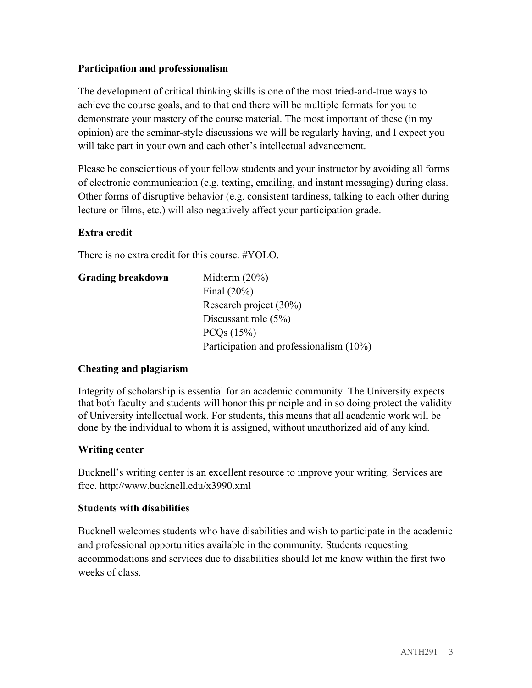## **Participation and professionalism**

The development of critical thinking skills is one of the most tried-and-true ways to achieve the course goals, and to that end there will be multiple formats for you to demonstrate your mastery of the course material. The most important of these (in my opinion) are the seminar-style discussions we will be regularly having, and I expect you will take part in your own and each other's intellectual advancement.

Please be conscientious of your fellow students and your instructor by avoiding all forms of electronic communication (e.g. texting, emailing, and instant messaging) during class. Other forms of disruptive behavior (e.g. consistent tardiness, talking to each other during lecture or films, etc.) will also negatively affect your participation grade.

## **Extra credit**

There is no extra credit for this course. #YOLO.

| <b>Grading breakdown</b> | Midterm $(20\%)$                        |
|--------------------------|-----------------------------------------|
|                          | Final $(20\%)$                          |
|                          | Research project (30%)                  |
|                          | Discussant role $(5\%)$                 |
|                          | PCQs (15%)                              |
|                          | Participation and professionalism (10%) |

### **Cheating and plagiarism**

Integrity of scholarship is essential for an academic community. The University expects that both faculty and students will honor this principle and in so doing protect the validity of University intellectual work. For students, this means that all academic work will be done by the individual to whom it is assigned, without unauthorized aid of any kind.

### **Writing center**

Bucknell's writing center is an excellent resource to improve your writing. Services are free. http://www.bucknell.edu/x3990.xml

### **Students with disabilities**

Bucknell welcomes students who have disabilities and wish to participate in the academic and professional opportunities available in the community. Students requesting accommodations and services due to disabilities should let me know within the first two weeks of class.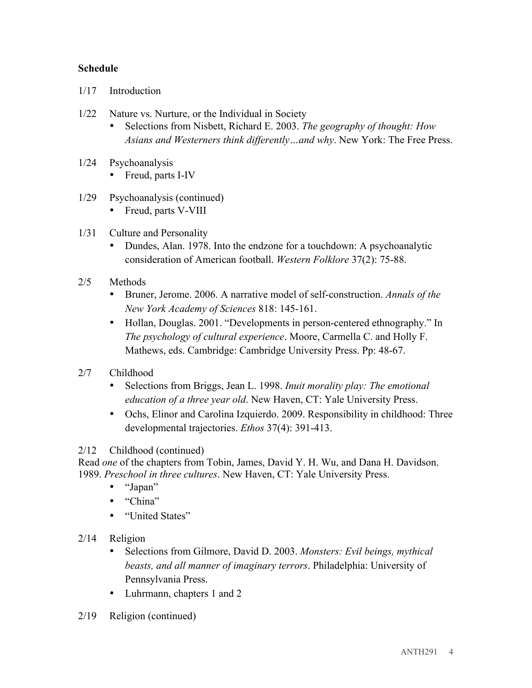#### **Schedule**

- 1/17 Introduction
- 1/22 Nature vs. Nurture, or the Individual in Society
	- Selections from Nisbett, Richard E. 2003. *The geography of thought: How Asians and Westerners think differently…and why*. New York: The Free Press.
- 1/24 Psychoanalysis
	- Freud, parts I-IV
- 1/29 Psychoanalysis (continued)
	- Freud, parts V-VIII
- 1/31 Culture and Personality
	- Dundes, Alan. 1978. Into the endzone for a touchdown: A psychoanalytic consideration of American football. *Western Folklore* 37(2): 75-88.
- 2/5 Methods
	- Bruner, Jerome. 2006. A narrative model of self-construction. *Annals of the New York Academy of Sciences* 818: 145-161.
	- Hollan, Douglas. 2001. "Developments in person-centered ethnography." In *The psychology of cultural experience*. Moore, Carmella C. and Holly F. Mathews, eds. Cambridge: Cambridge University Press. Pp: 48-67.
- 2/7 Childhood
	- Selections from Briggs, Jean L. 1998. *Inuit morality play: The emotional education of a three year old*. New Haven, CT: Yale University Press.
	- Ochs, Elinor and Carolina Izquierdo. 2009. Responsibility in childhood: Three developmental trajectories. *Ethos* 37(4): 391-413.

#### 2/12 Childhood (continued)

Read *one* of the chapters from Tobin, James, David Y. H. Wu, and Dana H. Davidson. 1989. *Preschool in three cultures*. New Haven, CT: Yale University Press.

- "Japan"
- "China"
- "United States"
- 2/14 Religion
	- Selections from Gilmore, David D. 2003. *Monsters: Evil beings, mythical beasts, and all manner of imaginary terrors*. Philadelphia: University of Pennsylvania Press.
	- Luhrmann, chapters 1 and 2
- 2/19 Religion (continued)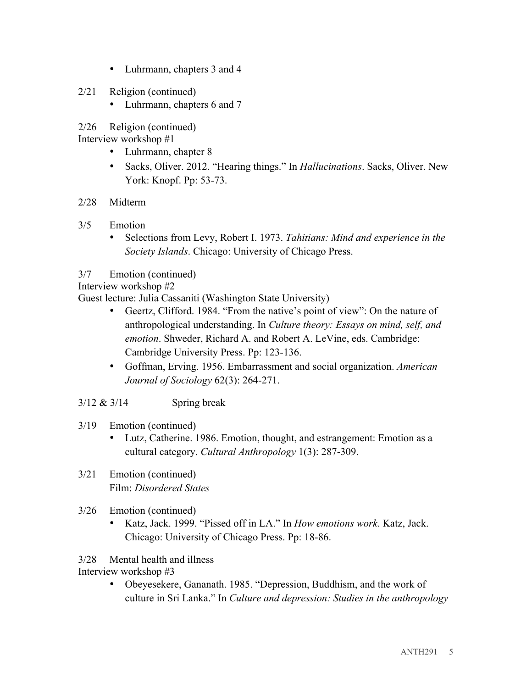- Luhrmann, chapters 3 and 4
- 2/21 Religion (continued)
	- Luhrmann, chapters 6 and 7
- 2/26 Religion (continued)

Interview workshop #1

- Luhrmann, chapter 8
- Sacks, Oliver. 2012. "Hearing things." In *Hallucinations*. Sacks, Oliver. New York: Knopf. Pp: 53-73.
- 2/28 Midterm
- 3/5 Emotion
	- Selections from Levy, Robert I. 1973. *Tahitians: Mind and experience in the Society Islands*. Chicago: University of Chicago Press.
- 3/7 Emotion (continued)

Interview workshop #2

Guest lecture: Julia Cassaniti (Washington State University)

- Geertz, Clifford. 1984. "From the native's point of view": On the nature of anthropological understanding. In *Culture theory: Essays on mind, self, and emotion*. Shweder, Richard A. and Robert A. LeVine, eds. Cambridge: Cambridge University Press. Pp: 123-136.
- Goffman, Erving. 1956. Embarrassment and social organization. *American Journal of Sociology* 62(3): 264-271.
- $3/12 \& 3/14$  Spring break
- 3/19 Emotion (continued)
	- Lutz, Catherine. 1986. Emotion, thought, and estrangement: Emotion as a cultural category. *Cultural Anthropology* 1(3): 287-309.
- 3/21 Emotion (continued) Film: *Disordered States*
- 3/26 Emotion (continued)
	- Katz, Jack. 1999. "Pissed off in LA." In *How emotions work*. Katz, Jack. Chicago: University of Chicago Press. Pp: 18-86.

### 3/28 Mental health and illness

Interview workshop #3

• Obeyesekere, Gananath. 1985. "Depression, Buddhism, and the work of culture in Sri Lanka." In *Culture and depression: Studies in the anthropology*